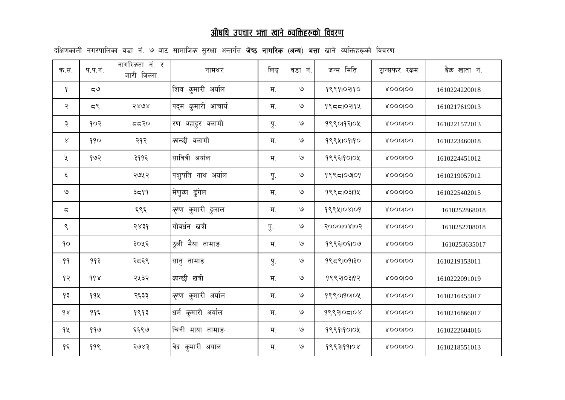## <u>औषधि उपचार भत्ता खाने व्यक्तिहरूको विवरण</u>

| क.सं.         | प.प.नं.   | नागरि <i>क</i> ता नं. र<br>जारी जिल्ला | नामथर                              | लिङ्ग            | वडा नं.       | जन्म मिति  | ट्रान्सफर रकम      | <i>बैंक</i> खाता नं. |
|---------------|-----------|----------------------------------------|------------------------------------|------------------|---------------|------------|--------------------|----------------------|
| 9             | $\zeta$ ل |                                        | शिव कुमारी अर्याल                  | म.               | $\mathcal{Q}$ | 9999102190 | <b>ROOOIOO</b>     | 1610224220018        |
| २             | 55        | २४७४                                   | पद् <b>म <i>क्</i>मारी आचार्य</b>  | म.               | $\mathsf{G}$  | 9955102194 | <b>&amp;OOOlOO</b> | 1610217619013        |
| ३             | १०२       | 552                                    | रण <i>ब</i> हादुर <i>ब</i> लामी    | $\overline{y}$ . | $\mathcal{O}$ | 9990197104 | <b>&amp;oooloo</b> | 1610221572013        |
| ४             | 990       | २१२                                    | कान्छी बलामी                       | म.               | $\mathcal{O}$ | 9994109190 | <b>ROOOIOO</b>     | 1610223460018        |
| Κ             | १७२       | ३११६                                   | सावित्री अर्याल                    | म.               | $\mathcal{O}$ | १९९६19010५ | <b>ROOOIOO</b>     | 1610224451012        |
| ६             |           | २७५२                                   | पशुपति नाथ अर्याल                  | $\overline{y}$ . | ও             | 9995109109 | <b>ROOOIOO</b>     | 1610219057012        |
| $\mathcal{O}$ |           | ३८११                                   | मेणुका ढुंगेल                      | म.               | $\mathcal{O}$ | 9995103194 | <b>ROOOIOO</b>     | 1610225402015        |
| ς             |           | ६९६                                    | <i>कृ</i> ष्ण <i>कु</i> मारी दुलाल | म.               | $\mathcal{O}$ | 9994108109 | <b>&amp;oooloo</b> | 1610252868018        |
| ९             |           | २४३१                                   | गोर्ब्यन खत्री                     | पु.              | $\mathcal{O}$ | 2000108105 | <b>ROOOIOO</b>     | 1610252708018        |
| 90            |           | ३०५६                                   | ठूली मैया तामाङ                    | म.               | $\mathsf{G}$  | १९९६10६10७ | <b>ROOOIOO</b>     | 1610253635017        |
| 99            | 99३       | २द६९                                   | 'सानु तामाङ                        | $\overline{y}$ . | $\mathcal{O}$ | 9959109130 | <b>&amp;OOOlOO</b> | 1610219153011        |
| १२            | 998       | २५३२                                   | कान्छी खत्री                       | म.               | $\mathcal{O}$ | १९९२10३19२ | <b>ROOOIOO</b>     | 1610222091019        |
| 9३            | 992       | २६३३                                   | <i>कृ</i> ष्ण कुमारी अर्याल        | म.               | $\mathsf{G}$  | 9990190104 | <b>ROOOIOO</b>     | 1610216455017        |
| 98            | ११६       | १९१३                                   | धर्म कुमारी अर्याल                 | म.               | $\mathcal{O}$ | १९९२105108 | <b>ROOOIOO</b>     | 1610216866017        |
| 92            | 999       | ६६९७                                   | चिनी माया तामाङ                    | म.               | $\mathsf{G}$  | 9999190104 | <b>ROOOIOO</b>     | 1610222604016        |
| १६            | 99९       | २७४३                                   | 'वेद कुमारी अर्याल                 | म.               | $\mathcal Q$  | 9993199108 | <b>&amp;OOOlOO</b> | 1610218551013        |

दक्षिणकाली नगरपालिका वडा नं. ७ बाट सामाजिक सुरक्षा अन्तर्गत **जेष्ठ नागरिक (अन्य) भत्ता** खाने व्यक्तिहरूको विवरण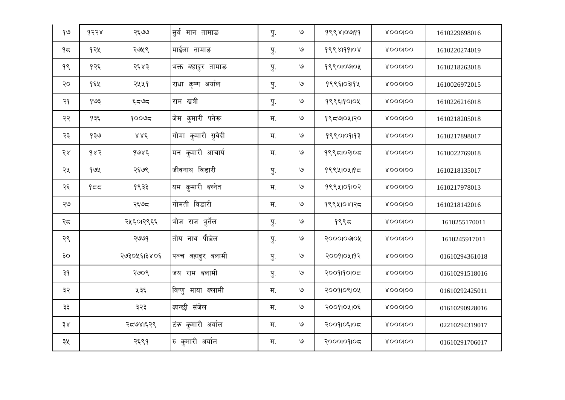| 99 | 9388 | २६७७        | सुर्य मान तामाङ                    | पु.              | $\mathcal{O}$ | 999810999  | <b>&amp;OOOlOO</b> | 1610229698016  |
|----|------|-------------|------------------------------------|------------------|---------------|------------|--------------------|----------------|
| 95 | १२५  | २७५९        | माईला तामाङ                        | पु.              | $\mathcal{O}$ | 9998199108 | <b>ROOOIOO</b>     | 1610220274019  |
| 9९ | १२६  | २६४३        | भक्त <i>ब</i> हादुर तामाङ          | Ţ.               | $\mathcal{O}$ | 9990109104 | <b>&amp;OOOlOO</b> | 1610218263018  |
| २० | १६५  | २५५१        | राधा <i>कृ</i> ष्ण अर्याल          | पु.              | $\mathcal{O}$ | 9998103194 | <b>&amp;OOOlOO</b> | 1610026972015  |
| २१ | 903  | ೯ದರಿದ       | राम खत्री                          | पु.              | $\mathcal{O}$ | १९९६19010५ | <b>&amp;OOOlOO</b> | 1610226216018  |
| २२ | १३६  | 90095       | जेम कुमारी पनेरू                   | म.               | $\mathcal{O}$ | १९८७०५१२०  | <b>&amp;OOOlOO</b> | 1610218205018  |
| २३ | १३७  | 886         | गोमा <i>क्</i> मारी सुवेदी         | म.               | $\mathcal{O}$ | 9990109193 | <b>&amp;OOOlOO</b> | 1610217898017  |
| २४ | 982  | 9086        | मन <i>कु</i> मारी आचार्य           | $H_{\cdot}$      | $\mathcal{O}$ | १९९८10२10८ | <b>&amp;OOOlOO</b> | 1610022769018  |
| २५ | 99x  | २६७९        | जीवनाथ विडारी                      | $\overline{y}$ . | $\mathcal{O}$ | 9994104195 | <b>ROOOIOO</b>     | 1610218135017  |
| २६ | 955  | १९३३        | यम <i>कु</i> मारी <i>ब</i> स्नेत   | म.               | $\mathcal{O}$ | 9994109107 | <b>ROOOIOO</b>     | 1610217978013  |
| ২৬ |      | २६७८        | गोमती विडारी                       | म.               | $\mathcal{O}$ | १९९५10४1२८ | <b>&amp;OOOlOO</b> | 1610218142016  |
| २८ |      | २५६०।२९६६   | भोज राज भुर्तेल                    | पु.              | $\mathcal{O}$ | 9995       | <b>&amp;OOOlOO</b> | 1610255170011  |
| २९ |      | २७७१        | तोय नाथ पौडेल                      | पु.              | $\mathcal{O}$ | २०००१०७१०५ | <b>&amp;OOOlOO</b> | 1610245917011  |
| oę |      | २७३०५६१३४०६ | 'पञ्च <i>ब</i> हादुर <i>ब</i> लामी | पु.              | $\mathcal{O}$ | २००११०५११२ | <b>&amp;OOOlOO</b> | 01610294361018 |
| ३१ |      | २७०९        | जय राम <i>ब</i> लामी               | पु.              | $\mathcal{O}$ | 2009190105 | <b>ROOOIOO</b>     | 01610291518016 |
| ३२ |      | ५३६         | विष्णु माया <i>ब</i> लामी          | H <sub>1</sub>   | $\mathcal{O}$ | २००११०९१०५ | <b>ROOOIOO</b>     | 01610292425011 |
| ३३ |      | ३२३         | कान्छी संजेल                       | म.               | $\mathcal{O}$ | २००११०५१०६ | <b>&amp;OOOlOO</b> | 01610290928016 |
| ३४ |      | २८७४१६२९    | टिक कुमारी अर्याल                  | म.               | $\mathcal{O}$ | २००१।०६।०८ | <b>ROOOIOO</b>     | 02210294319017 |
| ३५ |      | २६९१        | रु कुमारी अर्याल                   | म.               | $\mathcal{O}$ | 2000109105 | <b>&amp;OOOlOO</b> | 01610291706017 |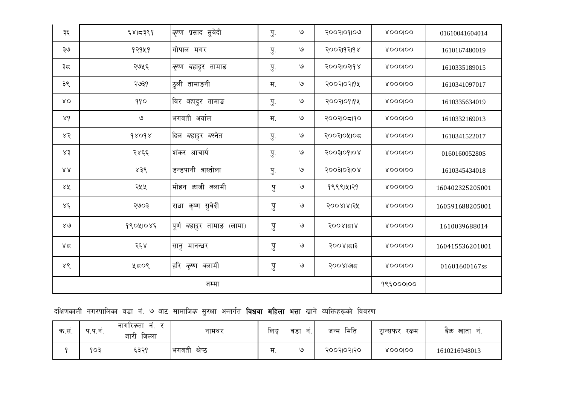| क.सं. | प.प.नं. | ਜ਼<br>नागरिकता<br>जारी<br>जिल्ला | नामथर         | लिङ्ग | न<br>'वडा | मिति<br>जन्म | रकम<br>टान्सफर | खाता<br>बेक   |
|-------|---------|----------------------------------|---------------|-------|-----------|--------------|----------------|---------------|
|       | 903     | ६३२१                             | भगवती श्रेष्ठ | म     | ৩         | २००२।०२।२०   | <b>ROOOIOO</b> | 1610216948013 |

| दक्षिणकाली नगरपालिका वडा नं. ७ बाट सामाजिक सुरक्षा अन्तर्गत <b>विधवा महिला भत्ता</b> खाने व्यक्तिहरूको विवरण |  |  |  |  |  |  |  |  |  |  |  |  |  |  |  |  |  |
|--------------------------------------------------------------------------------------------------------------|--|--|--|--|--|--|--|--|--|--|--|--|--|--|--|--|--|
|--------------------------------------------------------------------------------------------------------------|--|--|--|--|--|--|--|--|--|--|--|--|--|--|--|--|--|

| ३६          | ६४।८३९१       | <i>कृ</i> ष्ण प्रसाद सुवेदी        | $\overline{y}$ . | $\mathcal{O}$ | २००२।०१।०७      | <b>ROOOIOO</b>     | 01610041604014  |
|-------------|---------------|------------------------------------|------------------|---------------|-----------------|--------------------|-----------------|
| ২৩          | 92929         | गोपाल मगर                          | Ţ.               | $\mathsf{G}$  | २००२११२११४      | <b>ROOOIOO</b>     | 1610167480019   |
| ३८          | २७५६          | <i>कृ</i> ष्ण <i>ब</i> हादुर तामाङ | Ţ.               | $\mathcal{O}$ | २००२१०२११४      | <b>&amp;oooloo</b> | 1610335189015   |
| ३९          | २७३१          | ठुली तामाङनी                       | म.               | $\mathcal{Q}$ | २००२१०२११५      | <b>ROOOIOO</b>     | 1610341097017   |
| ΧO          | 990           | विर <i>ब</i> हादुर तामाङ           | पु.              | ৩             | २००२१०१११५      | <b>ROOOIOO</b>     | 1610335634019   |
| 89          | $\mathcal{Q}$ | भगवती अर्याल                       | म.               | $\mathsf{G}$  | २००२१०८१९०      | <b>ROOOIOO</b>     | 1610332169013   |
| ४२          | 98098         | दिल <i>ब</i> हादुर <i>ब</i> स्नेत  | पु.              | $\mathcal{O}$ | २००२१०५१०८      | <b>ROOOIOO</b>     | 1610341522017   |
| ४३          | २४६६          | शं <i>क</i> र आचार्य               | Ţ.               | ৩             | soosloglog      | <b>ROOOIOO</b>     | 016016005280S   |
| 88          | ४३९           | डन्डपानी बास्तोला                  | Ţ.               | $\mathcal{Q}$ | soosiosiok      | <b>ROOOIOO</b>     | 1610345434018   |
| ४४          | २५५           | मोहन <i>का</i> जी <i>ब</i> लामी    | पु               | $\mathcal{Q}$ | 999914129       | <b>ROOOIOO</b>     | 160402325205001 |
| ४६          | २७०३          | राधा <i>कृ</i> ष्ण सुवेदी          | पु               | $\mathcal{O}$ | २००४।४।२५       | <b>ROOOIOO</b>     | 160591688205001 |
| $8\sqrt{9}$ | 99041085      | पूर्ण <i>ब</i> हादुर तामाङ (लामा)  | पु               | ৩             | $500$ $8$ $518$ | <b>ROOOIOO</b>     | 1610039688014   |
| 85          | २६४           | सानु मानन्धर                       | पु               | ৩             | २००४।दा३        | <b>ROOOIOO</b>     | 160415536201001 |
| ४९          | ५८०९          | हरि <i>कृ</i> ष्ण <i>ब</i> लामी    | पु               | ৩             | २००४७७८         | <b>&amp;oooloo</b> | 01601600167ss   |
|             |               | 9९६०००।००                          |                  |               |                 |                    |                 |